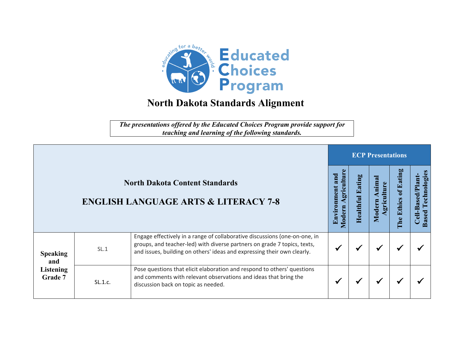

*The presentations offered by the Educated Choices Program provide support for teaching and learning of the following standards.*

|                                                                                          |         |                                                                                                                                                                                                                                   | <b>ECP Presentations</b> |                           |                                     |                                                      |  |  |  |
|------------------------------------------------------------------------------------------|---------|-----------------------------------------------------------------------------------------------------------------------------------------------------------------------------------------------------------------------------------|--------------------------|---------------------------|-------------------------------------|------------------------------------------------------|--|--|--|
| <b>North Dakota Content Standards</b><br><b>ENGLISH LANGUAGE ARTS &amp; LITERACY 7-8</b> |         | gricultui<br>ronmen<br><b>Aodern</b><br>Envir                                                                                                                                                                                     | ealth                    | nima<br>.<br>gri<br>Moder | ы,<br>Eatin<br><b>Ethics</b><br>The | echnologie<br>-Based/Plant<br>Ĥ<br><b>Based</b><br>링 |  |  |  |
| <b>Speaking</b><br>and<br><b>Listening</b><br>Grade 7                                    | SL.1    | Engage effectively in a range of collaborative discussions (one-on-one, in<br>groups, and teacher-led) with diverse partners on grade 7 topics, texts,<br>and issues, building on others' ideas and expressing their own clearly. |                          |                           | $\blacktriangleright$               |                                                      |  |  |  |
|                                                                                          | SL.1.c. | Pose questions that elicit elaboration and respond to others' questions<br>and comments with relevant observations and ideas that bring the<br>discussion back on topic as needed.                                                |                          |                           | ₩                                   |                                                      |  |  |  |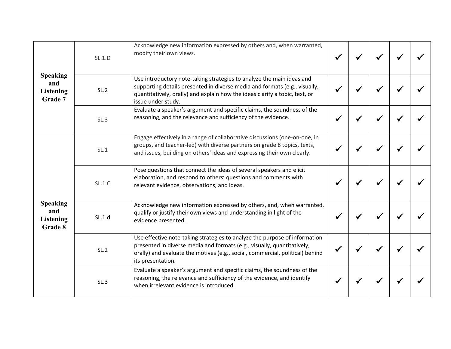| <b>Speaking</b><br>and<br><b>Listening</b><br>Grade 7 | SL.1.D | Acknowledge new information expressed by others and, when warranted,<br>modify their own views.                                                                                                                                                             |  |  |  |
|-------------------------------------------------------|--------|-------------------------------------------------------------------------------------------------------------------------------------------------------------------------------------------------------------------------------------------------------------|--|--|--|
|                                                       | SL.2   | Use introductory note-taking strategies to analyze the main ideas and<br>supporting details presented in diverse media and formats (e.g., visually,<br>quantitatively, orally) and explain how the ideas clarify a topic, text, or<br>issue under study.    |  |  |  |
|                                                       | SL.3   | Evaluate a speaker's argument and specific claims, the soundness of the<br>reasoning, and the relevance and sufficiency of the evidence.                                                                                                                    |  |  |  |
| <b>Speaking</b><br>and<br>Listening<br>Grade 8        | SL.1   | Engage effectively in a range of collaborative discussions (one-on-one, in<br>groups, and teacher-led) with diverse partners on grade 8 topics, texts,<br>and issues, building on others' ideas and expressing their own clearly.                           |  |  |  |
|                                                       | SL.1.C | Pose questions that connect the ideas of several speakers and elicit<br>elaboration, and respond to others' questions and comments with<br>relevant evidence, observations, and ideas.                                                                      |  |  |  |
|                                                       | SL.1.d | Acknowledge new information expressed by others, and, when warranted,<br>qualify or justify their own views and understanding in light of the<br>evidence presented.                                                                                        |  |  |  |
|                                                       | SL.2   | Use effective note-taking strategies to analyze the purpose of information<br>presented in diverse media and formats (e.g., visually, quantitatively,<br>orally) and evaluate the motives (e.g., social, commercial, political) behind<br>its presentation. |  |  |  |
|                                                       | SL.3   | Evaluate a speaker's argument and specific claims, the soundness of the<br>reasoning, the relevance and sufficiency of the evidence, and identify<br>when irrelevant evidence is introduced.                                                                |  |  |  |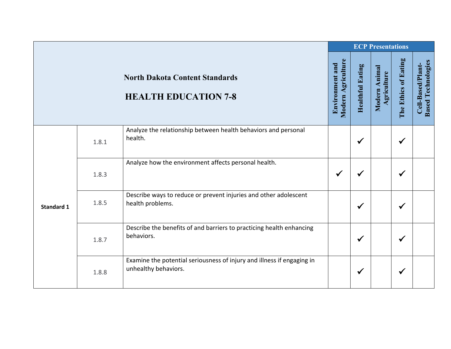|                   |       |                                                                                                | <b>ECP Presentations</b>              |                         |                              |                      |                                                |
|-------------------|-------|------------------------------------------------------------------------------------------------|---------------------------------------|-------------------------|------------------------------|----------------------|------------------------------------------------|
|                   |       | <b>North Dakota Content Standards</b><br><b>HEALTH EDUCATION 7-8</b>                           | Modern Agriculture<br>Environment and | <b>Healthful Eating</b> | Modern Animal<br>Agriculture | The Ethics of Eating | <b>Based Technologies</b><br>Cell-Based/Plant- |
| <b>Standard 1</b> | 1.8.1 | Analyze the relationship between health behaviors and personal<br>health.                      |                                       | $\checkmark$            |                              | ✔                    |                                                |
|                   | 1.8.3 | Analyze how the environment affects personal health.                                           | $\checkmark$                          | $\checkmark$            |                              | $\checkmark$         |                                                |
|                   | 1.8.5 | Describe ways to reduce or prevent injuries and other adolescent<br>health problems.           |                                       | $\checkmark$            |                              | ✔                    |                                                |
|                   | 1.8.7 | Describe the benefits of and barriers to practicing health enhancing<br>behaviors.             |                                       | $\checkmark$            |                              | $\checkmark$         |                                                |
|                   | 1.8.8 | Examine the potential seriousness of injury and illness if engaging in<br>unhealthy behaviors. |                                       | $\checkmark$            |                              | $\checkmark$         |                                                |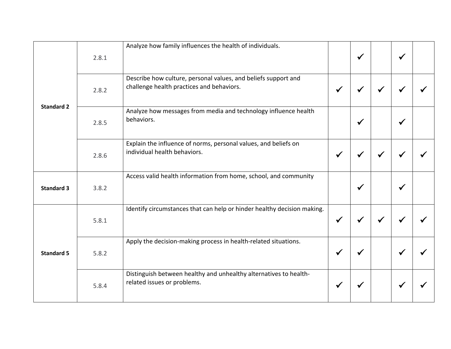| <b>Standard 2</b> | 2.8.1 | Analyze how family influences the health of individuals.                                                    |              | $\checkmark$ |              | $\checkmark$ |  |
|-------------------|-------|-------------------------------------------------------------------------------------------------------------|--------------|--------------|--------------|--------------|--|
|                   | 2.8.2 | Describe how culture, personal values, and beliefs support and<br>challenge health practices and behaviors. | $\checkmark$ |              |              |              |  |
|                   | 2.8.5 | Analyze how messages from media and technology influence health<br>behaviors.                               |              | $\checkmark$ |              | ✔            |  |
|                   | 2.8.6 | Explain the influence of norms, personal values, and beliefs on<br>individual health behaviors.             | $\checkmark$ | $\checkmark$ | $\checkmark$ | ✔            |  |
| <b>Standard 3</b> | 3.8.2 | Access valid health information from home, school, and community                                            |              | √            |              |              |  |
| <b>Standard 5</b> | 5.8.1 | Identify circumstances that can help or hinder healthy decision making.                                     | $\checkmark$ |              |              |              |  |
|                   | 5.8.2 | Apply the decision-making process in health-related situations.                                             | $\checkmark$ | ✔            |              | $\checkmark$ |  |
|                   | 5.8.4 | Distinguish between healthy and unhealthy alternatives to health-<br>related issues or problems.            | ✔            |              |              |              |  |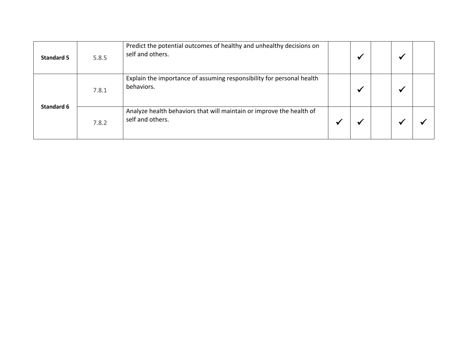| <b>Standard 5</b> | 5.8.5 | Predict the potential outcomes of healthy and unhealthy decisions on<br>self and others. | ₩                     |  |  |
|-------------------|-------|------------------------------------------------------------------------------------------|-----------------------|--|--|
| Standard 6        | 7.8.1 | Explain the importance of assuming responsibility for personal health<br>behaviors.      | $\blacktriangleright$ |  |  |
|                   | 7.8.2 | Analyze health behaviors that will maintain or improve the health of<br>self and others. |                       |  |  |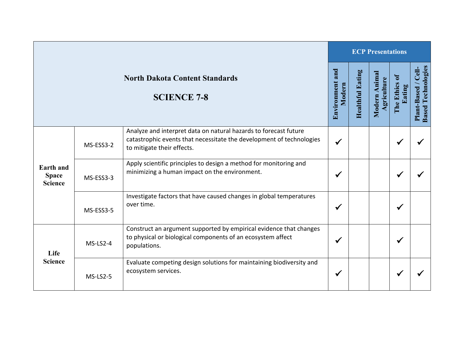|                                                             |           |                                                                                                                                                                        |                              | <b>ECP Presentations</b> |                              |                           |                                                    |  |  |  |
|-------------------------------------------------------------|-----------|------------------------------------------------------------------------------------------------------------------------------------------------------------------------|------------------------------|--------------------------|------------------------------|---------------------------|----------------------------------------------------|--|--|--|
| <b>North Dakota Content Standards</b><br><b>SCIENCE 7-8</b> |           |                                                                                                                                                                        | and<br>Environment<br>Modern | <b>Healthful Eating</b>  | Modern Animal<br>Agriculture | ₹<br>The Ethics<br>Eating | <b>Based Technologies</b><br>/Cell-<br>Plant-Based |  |  |  |
| Earth and<br><b>Space</b><br><b>Science</b>                 | MS-ESS3-2 | Analyze and interpret data on natural hazards to forecast future<br>catastrophic events that necessitate the development of technologies<br>to mitigate their effects. | $\checkmark$                 |                          |                              | ✔                         |                                                    |  |  |  |
|                                                             | MS-ESS3-3 | Apply scientific principles to design a method for monitoring and<br>minimizing a human impact on the environment.                                                     |                              |                          |                              | ✔                         |                                                    |  |  |  |
|                                                             | MS-ESS3-5 | Investigate factors that have caused changes in global temperatures<br>over time.                                                                                      | ✔                            |                          |                              | ✔                         |                                                    |  |  |  |
| Life<br><b>Science</b>                                      | MS-LS2-4  | Construct an argument supported by empirical evidence that changes<br>to physical or biological components of an ecosystem affect<br>populations.                      | ✔                            |                          |                              | √                         |                                                    |  |  |  |
|                                                             | MS-LS2-5  | Evaluate competing design solutions for maintaining biodiversity and<br>ecosystem services.                                                                            | ✔                            |                          |                              |                           |                                                    |  |  |  |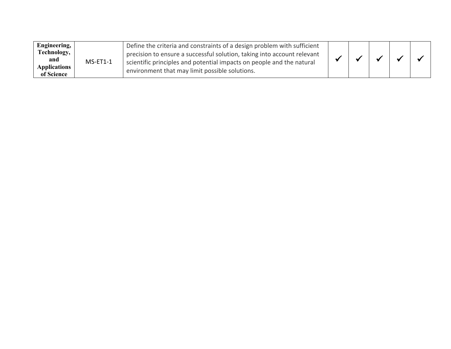| Engineering,<br>Technology,<br>and<br><b>Applications</b><br>of Science | $MS-ET1-1$ | Define the criteria and constraints of a design problem with sufficient<br>precision to ensure a successful solution, taking into account relevant<br>scientific principles and potential impacts on people and the natural<br>environment that may limit possible solutions. |  |  |  |  |  |
|-------------------------------------------------------------------------|------------|-------------------------------------------------------------------------------------------------------------------------------------------------------------------------------------------------------------------------------------------------------------------------------|--|--|--|--|--|
|-------------------------------------------------------------------------|------------|-------------------------------------------------------------------------------------------------------------------------------------------------------------------------------------------------------------------------------------------------------------------------------|--|--|--|--|--|